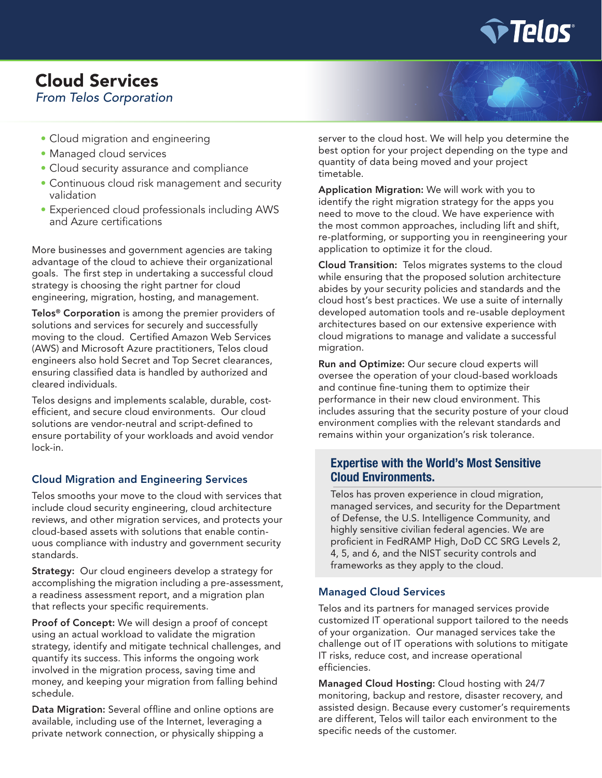

# Cloud Services *From Telos Corporation*

- Cloud migration and engineering
- Managed cloud services
- Cloud security assurance and compliance
- Continuous cloud risk management and security validation
- Experienced cloud professionals including AWS and Azure certifications

More businesses and government agencies are taking advantage of the cloud to achieve their organizational goals. The first step in undertaking a successful cloud strategy is choosing the right partner for cloud engineering, migration, hosting, and management.

Telos<sup>®</sup> Corporation is among the premier providers of solutions and services for securely and successfully moving to the cloud. Certified Amazon Web Services (AWS) and Microsoft Azure practitioners, Telos cloud engineers also hold Secret and Top Secret clearances, ensuring classified data is handled by authorized and cleared individuals.

Telos designs and implements scalable, durable, costefficient, and secure cloud environments. Our cloud solutions are vendor-neutral and script-defined to ensure portability of your workloads and avoid vendor lock-in.

### Cloud Migration and Engineering Services

Telos smooths your move to the cloud with services that include cloud security engineering, cloud architecture reviews, and other migration services, and protects your cloud-based assets with solutions that enable continuous compliance with industry and government security standards.

**Strategy:** Our cloud engineers develop a strategy for accomplishing the migration including a pre-assessment, a readiness assessment report, and a migration plan that reflects your specific requirements.

Proof of Concept: We will design a proof of concept using an actual workload to validate the migration strategy, identify and mitigate technical challenges, and quantify its success. This informs the ongoing work involved in the migration process, saving time and money, and keeping your migration from falling behind schedule.

Data Migration: Several offline and online options are available, including use of the Internet, leveraging a private network connection, or physically shipping a

server to the cloud host. We will help you determine the best option for your project depending on the type and quantity of data being moved and your project timetable.

Application Migration: We will work with you to identify the right migration strategy for the apps you need to move to the cloud. We have experience with the most common approaches, including lift and shift, re-platforming, or supporting you in reengineering your application to optimize it for the cloud.

Cloud Transition: Telos migrates systems to the cloud while ensuring that the proposed solution architecture abides by your security policies and standards and the cloud host's best practices. We use a suite of internally developed automation tools and re-usable deployment architectures based on our extensive experience with cloud migrations to manage and validate a successful migration.

Run and Optimize: Our secure cloud experts will oversee the operation of your cloud-based workloads and continue fine-tuning them to optimize their performance in their new cloud environment. This includes assuring that the security posture of your cloud environment complies with the relevant standards and remains within your organization's risk tolerance.

## **Expertise with the World's Most Sensitive Cloud Environments.**

Telos has proven experience in cloud migration, managed services, and security for the Department of Defense, the U.S. Intelligence Community, and highly sensitive civilian federal agencies. We are proficient in FedRAMP High, DoD CC SRG Levels 2, 4, 5, and 6, and the NIST security controls and frameworks as they apply to the cloud.

### Managed Cloud Services

Telos and its partners for managed services provide customized IT operational support tailored to the needs of your organization. Our managed services take the challenge out of IT operations with solutions to mitigate IT risks, reduce cost, and increase operational efficiencies.

Managed Cloud Hosting: Cloud hosting with 24/7 monitoring, backup and restore, disaster recovery, and assisted design. Because every customer's requirements are different, Telos will tailor each environment to the specific needs of the customer.